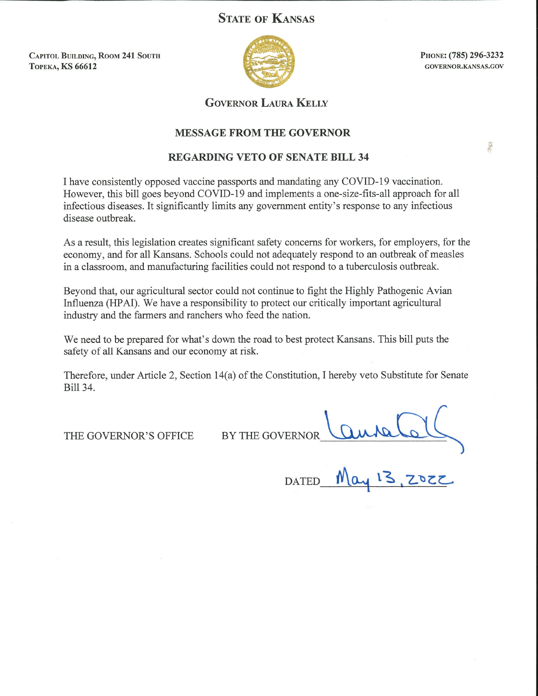# **STATE OF KANSAS**

**CAPITOL BUILDING, ROOM 241 SOUTH ТОРЕКА, KS 66612** 



PHONE: (785) 296-3232 GOVERNOR.KANSAS.GOV

店外

## **GOVERNOR LAURA KELLY**

### **MESSAGE FROM THE GOVERNOR**

### **REGARDING VETO OF SENATE BILL 34**

I have consistently opposed vaccine passports and mandating any COVID-19 vaccination. However, this bill goes beyond COVID-19 and implements a one-size-fits-all approach for all infectious diseases. It significantly limits any government entity's response to any infectious disease outbreak.

As a result, this legislation creates significant safety concerns for workers, for employers, for the economy, and for all Kansans. Schools could not adequately respond to an outbreak of measles in a classroom, and manufacturing facilities could not respond to a tuberculosis outbreak.

Beyond that, our agricultural sector could not continue to fight the Highly Pathogenic Avian Influenza (HPAI). We have a responsibility to protect our critically important agricultural industry and the farmers and ranchers who feed the nation.

We need to be prepared for what's down the road to best protect Kansans. This bill puts the safety of all Kansans and our economy at risk.

Therefore, under Article 2, Section 14(a) of the Constitution, I hereby veto Substitute for Senate Bill 34.

THE GOVERNOR'S OFFICE

BY THE GOVERNOR

**DATED**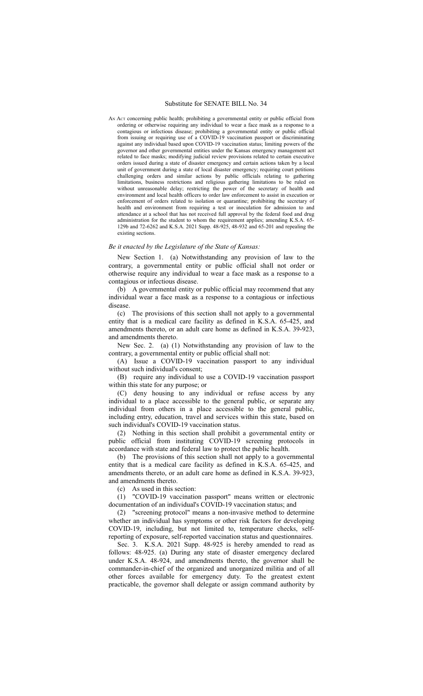AN ACT concerning public health; prohibiting a governmental entity or public official from ordering or otherwise requiring any individual to wear a face mask as a response to a contagious or infectious disease; prohibiting a governmental entity or public official from issuing or requiring use of a COVID-19 vaccination passport or discriminating against any individual based upon COVID-19 vaccination status; limiting powers of the governor and other governmental entities under the Kansas emergency management act related to face masks; modifying judicial review provisions related to certain executive orders issued during a state of disaster emergency and certain actions taken by a local unit of government during a state of local disaster emergency; requiring court petitions challenging orders and similar actions by public officials relating to gathering limitations, business restrictions and religious gathering limitations to be ruled on without unreasonable delay; restricting the power of the secretary of health and environment and local health officers to order law enforcement to assist in execution or enforcement of orders related to isolation or quarantine; prohibiting the secretary of health and environment from requiring a test or inoculation for admission to and attendance at a school that has not received full approval by the federal food and drug administration for the student to whom the requirement applies; amending K.S.A. 65- 129b and 72-6262 and K.S.A. 2021 Supp. 48-925, 48-932 and 65-201 and repealing the existing sections.

#### *Be it enacted by the Legislature of the State of Kansas:*

New Section 1. (a) Notwithstanding any provision of law to the contrary, a governmental entity or public official shall not order or otherwise require any individual to wear a face mask as a response to a contagious or infectious disease.

(b) A governmental entity or public official may recommend that any individual wear a face mask as a response to a contagious or infectious disease.

(c) The provisions of this section shall not apply to a governmental entity that is a medical care facility as defined in K.S.A. 65-425, and amendments thereto, or an adult care home as defined in K.S.A. 39-923, and amendments thereto.

New Sec. 2. (a) (1) Notwithstanding any provision of law to the contrary, a governmental entity or public official shall not:

(A) Issue a COVID-19 vaccination passport to any individual without such individual's consent;

(B) require any individual to use a COVID-19 vaccination passport within this state for any purpose; or

(C) deny housing to any individual or refuse access by any individual to a place accessible to the general public, or separate any individual from others in a place accessible to the general public, including entry, education, travel and services within this state, based on such individual's COVID-19 vaccination status.

(2) Nothing in this section shall prohibit a governmental entity or public official from instituting COVID-19 screening protocols in accordance with state and federal law to protect the public health.

(b) The provisions of this section shall not apply to a governmental entity that is a medical care facility as defined in K.S.A. 65-425, and amendments thereto, or an adult care home as defined in K.S.A. 39-923, and amendments thereto.

(c) As used in this section:

(1) "COVID-19 vaccination passport" means written or electronic documentation of an individual's COVID-19 vaccination status; and

(2) "screening protocol" means a non-invasive method to determine whether an individual has symptoms or other risk factors for developing COVID-19, including, but not limited to, temperature checks, selfreporting of exposure, self-reported vaccination status and questionnaires.

Sec. 3. K.S.A. 2021 Supp. 48-925 is hereby amended to read as follows: 48-925. (a) During any state of disaster emergency declared under K.S.A. 48-924, and amendments thereto, the governor shall be commander-in-chief of the organized and unorganized militia and of all other forces available for emergency duty. To the greatest extent practicable, the governor shall delegate or assign command authority by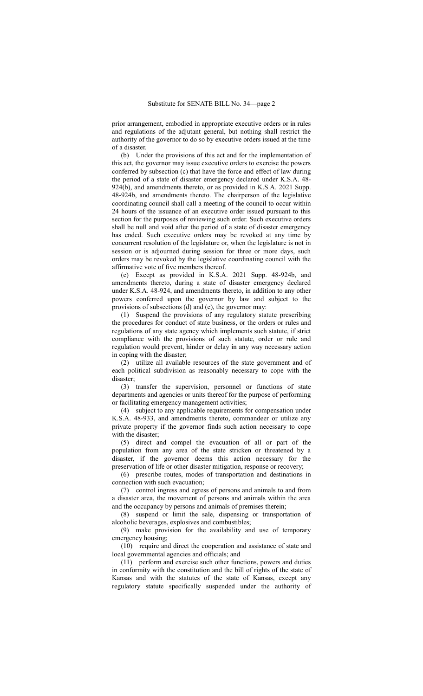prior arrangement, embodied in appropriate executive orders or in rules and regulations of the adjutant general, but nothing shall restrict the authority of the governor to do so by executive orders issued at the time of a disaster.

(b) Under the provisions of this act and for the implementation of this act, the governor may issue executive orders to exercise the powers conferred by subsection (c) that have the force and effect of law during the period of a state of disaster emergency declared under K.S.A. 48- 924(b), and amendments thereto, or as provided in K.S.A. 2021 Supp. 48-924b, and amendments thereto. The chairperson of the legislative coordinating council shall call a meeting of the council to occur within 24 hours of the issuance of an executive order issued pursuant to this section for the purposes of reviewing such order. Such executive orders shall be null and void after the period of a state of disaster emergency has ended. Such executive orders may be revoked at any time by concurrent resolution of the legislature or, when the legislature is not in session or is adjourned during session for three or more days, such orders may be revoked by the legislative coordinating council with the affirmative vote of five members thereof.

(c) Except as provided in K.S.A. 2021 Supp. 48-924b, and amendments thereto, during a state of disaster emergency declared under K.S.A. 48-924, and amendments thereto, in addition to any other powers conferred upon the governor by law and subject to the provisions of subsections (d) and (e), the governor may:

(1) Suspend the provisions of any regulatory statute prescribing the procedures for conduct of state business, or the orders or rules and regulations of any state agency which implements such statute, if strict compliance with the provisions of such statute, order or rule and regulation would prevent, hinder or delay in any way necessary action in coping with the disaster;

(2) utilize all available resources of the state government and of each political subdivision as reasonably necessary to cope with the disaster;

(3) transfer the supervision, personnel or functions of state departments and agencies or units thereof for the purpose of performing or facilitating emergency management activities;

(4) subject to any applicable requirements for compensation under K.S.A. 48-933, and amendments thereto, commandeer or utilize any private property if the governor finds such action necessary to cope with the disaster:

(5) direct and compel the evacuation of all or part of the population from any area of the state stricken or threatened by a disaster, if the governor deems this action necessary for the preservation of life or other disaster mitigation, response or recovery;

(6) prescribe routes, modes of transportation and destinations in connection with such evacuation;

(7) control ingress and egress of persons and animals to and from a disaster area, the movement of persons and animals within the area and the occupancy by persons and animals of premises therein;

(8) suspend or limit the sale, dispensing or transportation of alcoholic beverages, explosives and combustibles;

(9) make provision for the availability and use of temporary emergency housing;

(10) require and direct the cooperation and assistance of state and local governmental agencies and officials; and

(11) perform and exercise such other functions, powers and duties in conformity with the constitution and the bill of rights of the state of Kansas and with the statutes of the state of Kansas, except any regulatory statute specifically suspended under the authority of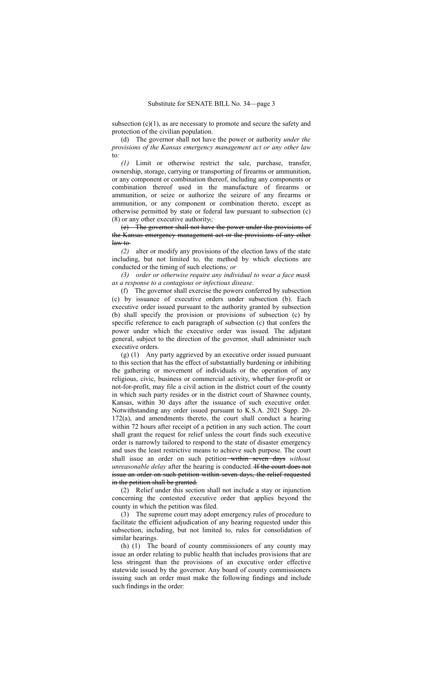subsection  $(c)(1)$ , as are necessary to promote and secure the safety and protection of the civilian population.

(d) The governor shall not have the power or authority *under the provisions of the Kansas emergency management act or any other law* to*:*

*(1)* Limit or otherwise restrict the sale, purchase, transfer, ownership, storage, carrying or transporting of firearms or ammunition, or any component or combination thereof, including any components or combination thereof used in the manufacture of firearms or ammunition, or seize or authorize the seizure of any firearms or ammunition, or any component or combination thereto, except as otherwise permitted by state or federal law pursuant to subsection (c) (8) or any other executive authority.*;*

(e) The governor shall not have the power under the provisions of the Kansas emergency management act or the provisions of any other law to

*(2)* alter or modify any provisions of the election laws of the state including, but not limited to, the method by which elections are conducted or the timing of such elections*; or*

*(3) order or otherwise require any individual to wear a face mask as a response to a contagious or infectious disease*.

(f) The governor shall exercise the powers conferred by subsection (c) by issuance of executive orders under subsection (b). Each executive order issued pursuant to the authority granted by subsection (b) shall specify the provision or provisions of subsection (c) by specific reference to each paragraph of subsection (c) that confers the power under which the executive order was issued. The adjutant general, subject to the direction of the governor, shall administer such executive orders.

(g) (1) Any party aggrieved by an executive order issued pursuant to this section that has the effect of substantially burdening or inhibiting the gathering or movement of individuals or the operation of any religious, civic, business or commercial activity, whether for-profit or not-for-profit, may file a civil action in the district court of the county in which such party resides or in the district court of Shawnee county, Kansas, within 30 days after the issuance of such executive order. Notwithstanding any order issued pursuant to K.S.A. 2021 Supp. 20- 172(a), and amendments thereto, the court shall conduct a hearing within 72 hours after receipt of a petition in any such action. The court shall grant the request for relief unless the court finds such executive order is narrowly tailored to respond to the state of disaster emergency and uses the least restrictive means to achieve such purpose. The court shall issue an order on such petition within seven days *without unreasonable delay* after the hearing is conducted. H the court does not issue an order on such petition within seven days, the relief requested in the petition shall be granted.

(2) Relief under this section shall not include a stay or injunction concerning the contested executive order that applies beyond the county in which the petition was filed.

(3) The supreme court may adopt emergency rules of procedure to facilitate the efficient adjudication of any hearing requested under this subsection, including, but not limited to, rules for consolidation of similar hearings.

(h) (1) The board of county commissioners of any county may issue an order relating to public health that includes provisions that are less stringent than the provisions of an executive order effective statewide issued by the governor. Any board of county commissioners issuing such an order must make the following findings and include such findings in the order: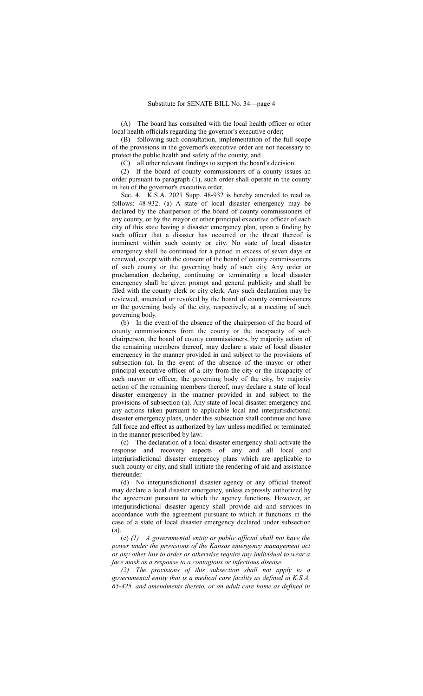(A) The board has consulted with the local health officer or other local health officials regarding the governor's executive order;

(B) following such consultation, implementation of the full scope of the provisions in the governor's executive order are not necessary to protect the public health and safety of the county; and

(C) all other relevant findings to support the board's decision.

(2) If the board of county commissioners of a county issues an order pursuant to paragraph (1), such order shall operate in the county in lieu of the governor's executive order.

Sec. 4. K.S.A. 2021 Supp. 48-932 is hereby amended to read as follows: 48-932. (a) A state of local disaster emergency may be declared by the chairperson of the board of county commissioners of any county, or by the mayor or other principal executive officer of each city of this state having a disaster emergency plan, upon a finding by such officer that a disaster has occurred or the threat thereof is imminent within such county or city. No state of local disaster emergency shall be continued for a period in excess of seven days or renewed, except with the consent of the board of county commissioners of such county or the governing body of such city. Any order or proclamation declaring, continuing or terminating a local disaster emergency shall be given prompt and general publicity and shall be filed with the county clerk or city clerk. Any such declaration may be reviewed, amended or revoked by the board of county commissioners or the governing body of the city, respectively, at a meeting of such governing body.

(b) In the event of the absence of the chairperson of the board of county commissioners from the county or the incapacity of such chairperson, the board of county commissioners, by majority action of the remaining members thereof, may declare a state of local disaster emergency in the manner provided in and subject to the provisions of subsection (a). In the event of the absence of the mayor or other principal executive officer of a city from the city or the incapacity of such mayor or officer, the governing body of the city, by majority action of the remaining members thereof, may declare a state of local disaster emergency in the manner provided in and subject to the provisions of subsection (a). Any state of local disaster emergency and any actions taken pursuant to applicable local and interjurisdictional disaster emergency plans, under this subsection shall continue and have full force and effect as authorized by law unless modified or terminated in the manner prescribed by law.

(c) The declaration of a local disaster emergency shall activate the response and recovery aspects of any and all local and interjurisdictional disaster emergency plans which are applicable to such county or city, and shall initiate the rendering of aid and assistance thereunder.

(d) No interjurisdictional disaster agency or any official thereof may declare a local disaster emergency, unless expressly authorized by the agreement pursuant to which the agency functions. However, an interjurisdictional disaster agency shall provide aid and services in accordance with the agreement pursuant to which it functions in the case of a state of local disaster emergency declared under subsection (a).

(e) *(1) A governmental entity or public official shall not have the power under the provisions of the Kansas emergency management act or any other law to order or otherwise require any individual to wear a face mask as a response to a contagious or infectious disease.*

*(2) The provisions of this subsection shall not apply to a governmental entity that is a medical care facility as defined in K.S.A. 65-425, and amendments thereto, or an adult care home as defined in*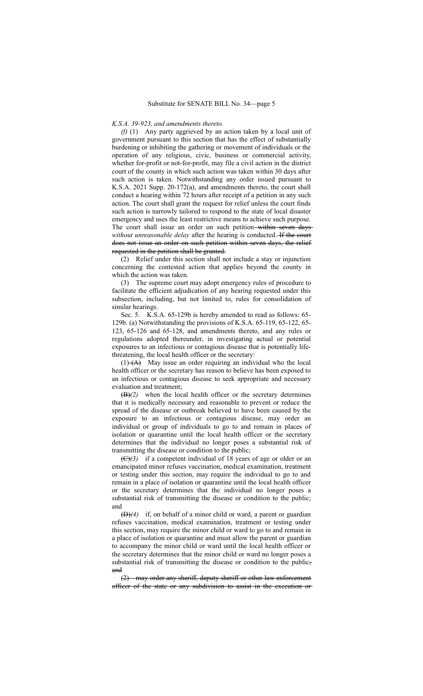### *K.S.A. 39-923, and amendments thereto.*

*(f)* (1) Any party aggrieved by an action taken by a local unit of government pursuant to this section that has the effect of substantially burdening or inhibiting the gathering or movement of individuals or the operation of any religious, civic, business or commercial activity, whether for-profit or not-for-profit, may file a civil action in the district court of the county in which such action was taken within 30 days after such action is taken. Notwithstanding any order issued pursuant to K.S.A. 2021 Supp. 20-172(a), and amendments thereto, the court shall conduct a hearing within 72 hours after receipt of a petition in any such action. The court shall grant the request for relief unless the court finds such action is narrowly tailored to respond to the state of local disaster emergency and uses the least restrictive means to achieve such purpose. The court shall issue an order on such petition-within seven days *without unreasonable delay* after the hearing is conducted. H the court does not issue an order on such petition within seven days, the relief requested in the petition shall be granted.

(2) Relief under this section shall not include a stay or injunction concerning the contested action that applies beyond the county in which the action was taken.

(3) The supreme court may adopt emergency rules of procedure to facilitate the efficient adjudication of any hearing requested under this subsection, including, but not limited to, rules for consolidation of similar hearings.

Sec. 5. K.S.A. 65-129b is hereby amended to read as follows: 65- 129b. (a) Notwithstanding the provisions of K.S.A. 65-119, 65-122, 65- 123, 65-126 and 65-128, and amendments thereto, and any rules or regulations adopted thereunder, in investigating actual or potential exposures to an infectious or contagious disease that is potentially lifethreatening, the local health officer or the secretary:

 $(1)$   $(A)$  May issue an order requiring an individual who the local health officer or the secretary has reason to believe has been exposed to an infectious or contagious disease to seek appropriate and necessary evaluation and treatment;

(B)*(2)* when the local health officer or the secretary determines that it is medically necessary and reasonable to prevent or reduce the spread of the disease or outbreak believed to have been caused by the exposure to an infectious or contagious disease, may order an individual or group of individuals to go to and remain in places of isolation or quarantine until the local health officer or the secretary determines that the individual no longer poses a substantial risk of transmitting the disease or condition to the public;

(C)*(3)* if a competent individual of 18 years of age or older or an emancipated minor refuses vaccination, medical examination, treatment or testing under this section, may require the individual to go to and remain in a place of isolation or quarantine until the local health officer or the secretary determines that the individual no longer poses a substantial risk of transmitting the disease or condition to the public; and

(D)*(4)* if, on behalf of a minor child or ward, a parent or guardian refuses vaccination, medical examination, treatment or testing under this section, may require the minor child or ward to go to and remain in a place of isolation or quarantine and must allow the parent or guardian to accompany the minor child or ward until the local health officer or the secretary determines that the minor child or ward no longer poses a substantial risk of transmitting the disease or condition to the public; and

(2) may order any sheriff, deputy sheriff or other law enforcement officer of the state or any subdivision to assist in the execution or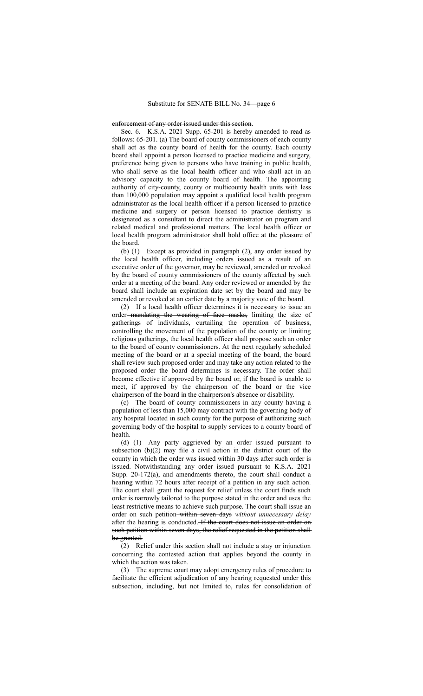### enforcement of any order issued under this section.

Sec. 6. K.S.A. 2021 Supp. 65-201 is hereby amended to read as follows: 65-201. (a) The board of county commissioners of each county shall act as the county board of health for the county. Each county board shall appoint a person licensed to practice medicine and surgery, preference being given to persons who have training in public health, who shall serve as the local health officer and who shall act in an advisory capacity to the county board of health. The appointing authority of city-county, county or multicounty health units with less than 100,000 population may appoint a qualified local health program administrator as the local health officer if a person licensed to practice medicine and surgery or person licensed to practice dentistry is designated as a consultant to direct the administrator on program and related medical and professional matters. The local health officer or local health program administrator shall hold office at the pleasure of the board.

(b) (1) Except as provided in paragraph (2), any order issued by the local health officer, including orders issued as a result of an executive order of the governor, may be reviewed, amended or revoked by the board of county commissioners of the county affected by such order at a meeting of the board. Any order reviewed or amended by the board shall include an expiration date set by the board and may be amended or revoked at an earlier date by a majority vote of the board.

(2) If a local health officer determines it is necessary to issue an order-mandating the wearing of face masks, limiting the size of gatherings of individuals, curtailing the operation of business, controlling the movement of the population of the county or limiting religious gatherings, the local health officer shall propose such an order to the board of county commissioners. At the next regularly scheduled meeting of the board or at a special meeting of the board, the board shall review such proposed order and may take any action related to the proposed order the board determines is necessary. The order shall become effective if approved by the board or, if the board is unable to meet, if approved by the chairperson of the board or the vice chairperson of the board in the chairperson's absence or disability.

(c) The board of county commissioners in any county having a population of less than 15,000 may contract with the governing body of any hospital located in such county for the purpose of authorizing such governing body of the hospital to supply services to a county board of health.

(d) (1) Any party aggrieved by an order issued pursuant to subsection (b)(2) may file a civil action in the district court of the county in which the order was issued within 30 days after such order is issued. Notwithstanding any order issued pursuant to K.S.A. 2021 Supp. 20-172(a), and amendments thereto, the court shall conduct a hearing within 72 hours after receipt of a petition in any such action. The court shall grant the request for relief unless the court finds such order is narrowly tailored to the purpose stated in the order and uses the least restrictive means to achieve such purpose. The court shall issue an order on such petition within seven days *without unnecessary delay* after the hearing is conducted. If the court does not issue an order on such petition within seven days, the relief requested in the petition shall be granted.

(2) Relief under this section shall not include a stay or injunction concerning the contested action that applies beyond the county in which the action was taken.

(3) The supreme court may adopt emergency rules of procedure to facilitate the efficient adjudication of any hearing requested under this subsection, including, but not limited to, rules for consolidation of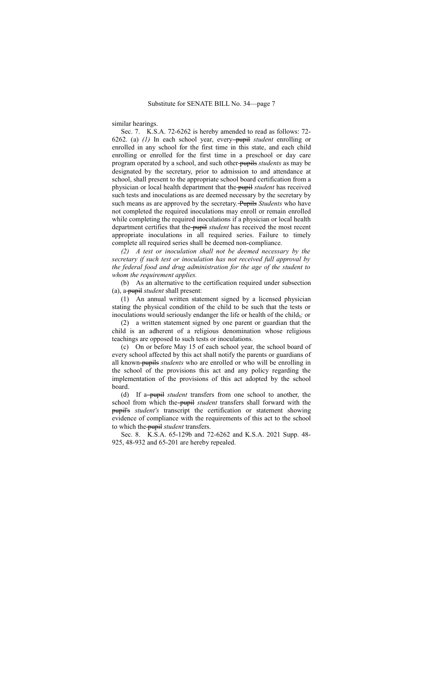similar hearings.

Sec. 7. K.S.A. 72-6262 is hereby amended to read as follows: 72- 6262. (a) *(1)* In each school year, every pupil *student* enrolling or enrolled in any school for the first time in this state, and each child enrolling or enrolled for the first time in a preschool or day care program operated by a school, and such other pupils *students* as may be designated by the secretary, prior to admission to and attendance at school, shall present to the appropriate school board certification from a physician or local health department that the pupil *student* has received such tests and inoculations as are deemed necessary by the secretary by such means as are approved by the secretary. Pupils *Students* who have not completed the required inoculations may enroll or remain enrolled while completing the required inoculations if a physician or local health department certifies that the pupil *student* has received the most recent appropriate inoculations in all required series. Failure to timely complete all required series shall be deemed non-compliance.

*(2) A test or inoculation shall not be deemed necessary by the secretary if such test or inoculation has not received full approval by the federal food and drug administration for the age of the student to whom the requirement applies.*

(b) As an alternative to the certification required under subsection (a), a pupil *student* shall present:

(1) An annual written statement signed by a licensed physician stating the physical condition of the child to be such that the tests or inoculations would seriously endanger the life or health of the child,*;* or

(2) a written statement signed by one parent or guardian that the child is an adherent of a religious denomination whose religious teachings are opposed to such tests or inoculations.

(c) On or before May 15 of each school year, the school board of every school affected by this act shall notify the parents or guardians of all known pupils *students* who are enrolled or who will be enrolling in the school of the provisions this act and any policy regarding the implementation of the provisions of this act adopted by the school board.

(d) If a pupil *student* transfers from one school to another, the school from which the pupil *student* transfers shall forward with the pupil's *student's* transcript the certification or statement showing evidence of compliance with the requirements of this act to the school to which the pupil *student* transfers.

Sec. 8. K.S.A. 65-129b and 72-6262 and K.S.A. 2021 Supp. 48- 925, 48-932 and 65-201 are hereby repealed.